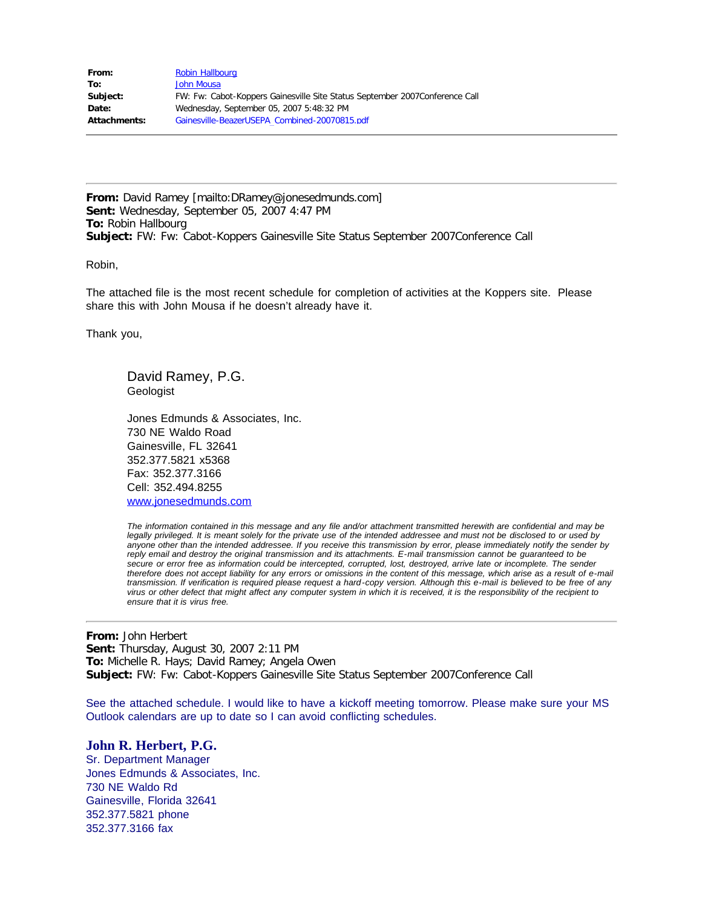| From:        | <b>Robin Hallbourg</b>                                                      |
|--------------|-----------------------------------------------------------------------------|
| To:          | John Mousa                                                                  |
| Subject:     | FW: Fw: Cabot-Koppers Gainesville Site Status September 2007Conference Call |
| Date:        | Wednesday, September 05, 2007 5:48:32 PM                                    |
| Attachments: | Gainesville-BeazerUSEPA Combined-20070815.pdf                               |

**From:** David Ramey [mailto:DRamey@jonesedmunds.com] **Sent:** Wednesday, September 05, 2007 4:47 PM **To:** Robin Hallbourg **Subject:** FW: Fw: Cabot-Koppers Gainesville Site Status September 2007Conference Call

Robin,

The attached file is the most recent schedule for completion of activities at the Koppers site. Please share this with John Mousa if he doesn't already have it.

Thank you,

David Ramey, P.G. Geologist

Jones Edmunds & Associates, Inc. 730 NE Waldo Road Gainesville, FL 32641 352.377.5821 x5368 Fax: 352.377.3166 Cell: 352.494.8255 [www.jonesedmunds.com](http://www.jonesedmunds.com/)

*The information contained in this message and any file and/or attachment transmitted herewith are confidential and may be legally privileged. It is meant solely for the private use of the intended addressee and must not be disclosed to or used by anyone other than the intended addressee. If you receive this transmission by error, please immediately notify the sender by reply email and destroy the original transmission and its attachments. E-mail transmission cannot be guaranteed to be secure or error free as information could be intercepted, corrupted, lost, destroyed, arrive late or incomplete. The sender therefore does not accept liability for any errors or omissions in the content of this message, which arise as a result of e-mail transmission. If verification is required please request a hard-copy version. Although this e-mail is believed to be free of any virus or other defect that might affect any computer system in which it is received, it is the responsibility of the recipient to ensure that it is virus free.*

**From:** John Herbert **Sent:** Thursday, August 30, 2007 2:11 PM **To:** Michelle R. Hays; David Ramey; Angela Owen **Subject:** FW: Fw: Cabot-Koppers Gainesville Site Status September 2007Conference Call

See the attached schedule. I would like to have a kickoff meeting tomorrow. Please make sure your MS Outlook calendars are up to date so I can avoid conflicting schedules.

## **John R. Herbert, P.G.**

Sr. Department Manager Jones Edmunds & Associates, Inc. 730 NE Waldo Rd Gainesville, Florida 32641 352.377.5821 phone 352.377.3166 fax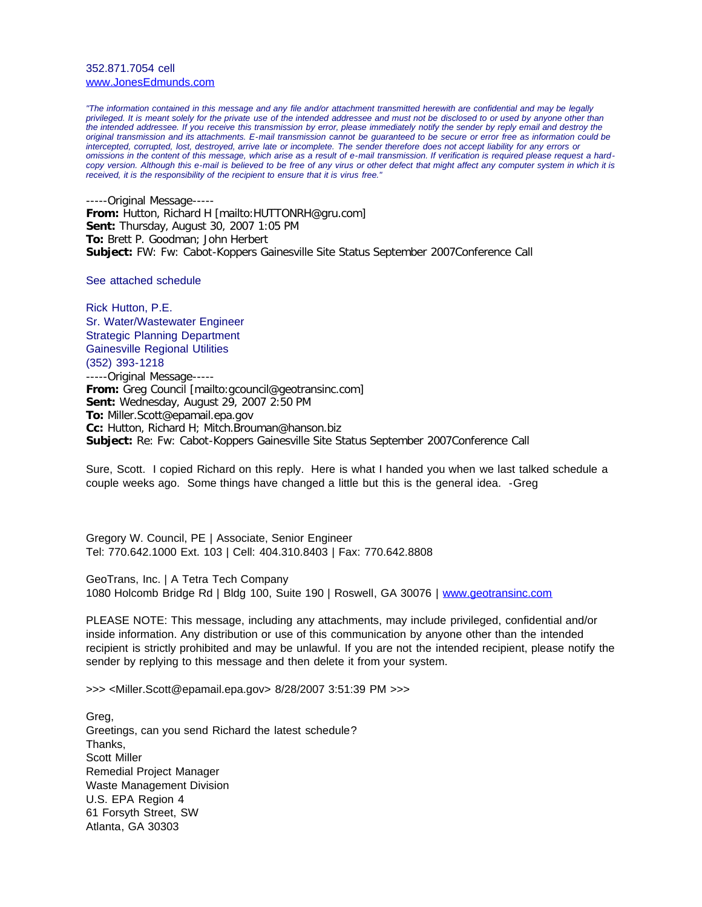352.871.7054 cell [www.JonesEdmunds.com](http://www.jonesedmunds.com/)

*"The information contained in this message and any file and/or attachment transmitted herewith are confidential and may be legally privileged. It is meant solely for the private use of the intended addressee and must not be disclosed to or used by anyone other than the intended addressee. If you receive this transmission by error, please immediately notify the sender by reply email and destroy the original transmission and its attachments. E-mail transmission cannot be guaranteed to be secure or error free as information could be intercepted, corrupted, lost, destroyed, arrive late or incomplete. The sender therefore does not accept liability for any errors or omissions in the content of this message, which arise as a result of e-mail transmission. If verification is required please request a hardcopy version. Although this e-mail is believed to be free of any virus or other defect that might affect any computer system in which it is received, it is the responsibility of the recipient to ensure that it is virus free."*

-----Original Message----- **From:** Hutton, Richard H [mailto:HUTTONRH@gru.com] **Sent:** Thursday, August 30, 2007 1:05 PM **To:** Brett P. Goodman; John Herbert **Subject:** FW: Fw: Cabot-Koppers Gainesville Site Status September 2007Conference Call

See attached schedule

Rick Hutton, P.E. Sr. Water/Wastewater Engineer Strategic Planning Department Gainesville Regional Utilities (352) 393-1218 -----Original Message----- **From:** Greg Council [mailto:gcouncil@geotransinc.com] **Sent:** Wednesday, August 29, 2007 2:50 PM **To:** Miller.Scott@epamail.epa.gov **Cc:** Hutton, Richard H; Mitch.Brouman@hanson.biz **Subject:** Re: Fw: Cabot-Koppers Gainesville Site Status September 2007Conference Call

Sure, Scott. I copied Richard on this reply. Here is what I handed you when we last talked schedule a couple weeks ago. Some things have changed a little but this is the general idea. -Greg

Gregory W. Council, PE | Associate, Senior Engineer Tel: 770.642.1000 Ext. 103 | Cell: 404.310.8403 | Fax: 770.642.8808

GeoTrans, Inc. | A Tetra Tech Company 1080 Holcomb Bridge Rd | Bldg 100, Suite 190 | Roswell, GA 30076 | [www.geotransinc.com](http://www.geotransinc.com/)

PLEASE NOTE: This message, including any attachments, may include privileged, confidential and/or inside information. Any distribution or use of this communication by anyone other than the intended recipient is strictly prohibited and may be unlawful. If you are not the intended recipient, please notify the sender by replying to this message and then delete it from your system.

>>> <Miller.Scott@epamail.epa.gov> 8/28/2007 3:51:39 PM >>>

Greg, Greetings, can you send Richard the latest schedule? Thanks, Scott Miller Remedial Project Manager Waste Management Division U.S. EPA Region 4 61 Forsyth Street, SW Atlanta, GA 30303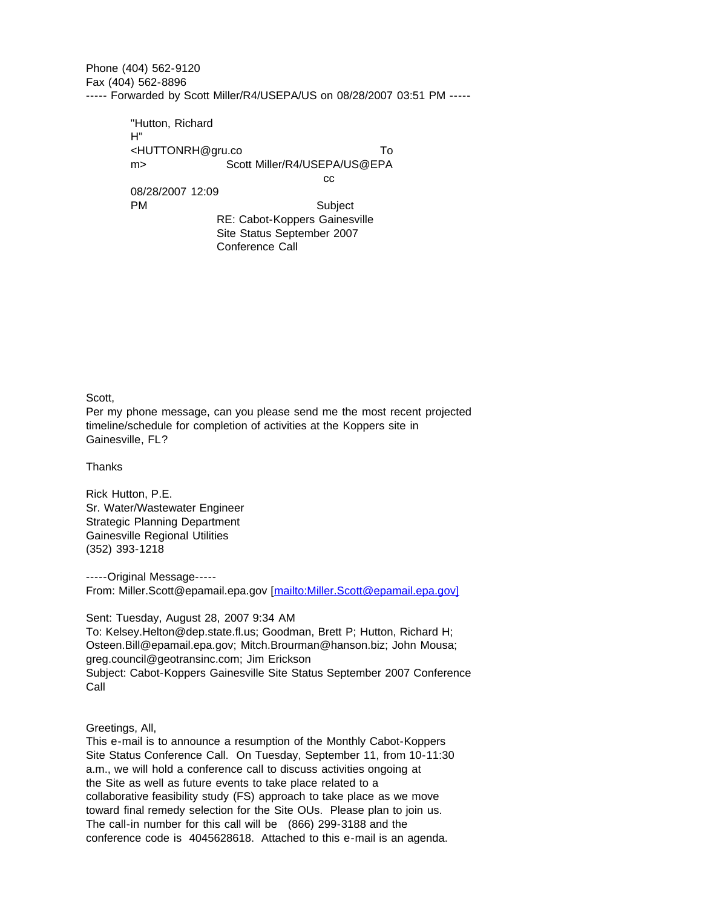Phone (404) 562-9120 Fax (404) 562-8896 ----- Forwarded by Scott Miller/R4/USEPA/US on 08/28/2007 03:51 PM -----

 "Hutton, Richard H" <HUTTONRH@gru.co To m> Scott Miller/R4/USEPA/US@EPA cci de la construcción de la construcción de la construcción de la construcción de la construcción de la construcción de la construcción de la construcción de la construcción de la construcción de la construcción de la con 08/28/2007 12:09 PM Subject RE: Cabot-Koppers Gainesville Site Status September 2007 Conference Call

Scott,

Per my phone message, can you please send me the most recent projected timeline/schedule for completion of activities at the Koppers site in Gainesville, FL?

Thanks

Rick Hutton, P.E. Sr. Water/Wastewater Engineer Strategic Planning Department Gainesville Regional Utilities (352) 393-1218

-----Original Message---- From: Miller.Scott@epamail.epa.gov [[mailto:Miller.Scott@epamail.epa.gov\]](mailto:Miller.Scott@epamail.epa.gov%5d)

Sent: Tuesday, August 28, 2007 9:34 AM To: Kelsey.Helton@dep.state.fl.us; Goodman, Brett P; Hutton, Richard H; Osteen.Bill@epamail.epa.gov; Mitch.Brourman@hanson.biz; John Mousa; greg.council@geotransinc.com; Jim Erickson Subject: Cabot-Koppers Gainesville Site Status September 2007 Conference Call

Greetings, All,

This e-mail is to announce a resumption of the Monthly Cabot-Koppers Site Status Conference Call. On Tuesday, September 11, from 10-11:30 a.m., we will hold a conference call to discuss activities ongoing at the Site as well as future events to take place related to a collaborative feasibility study (FS) approach to take place as we move toward final remedy selection for the Site OUs. Please plan to join us. The call-in number for this call will be (866) 299-3188 and the conference code is 4045628618. Attached to this e-mail is an agenda.